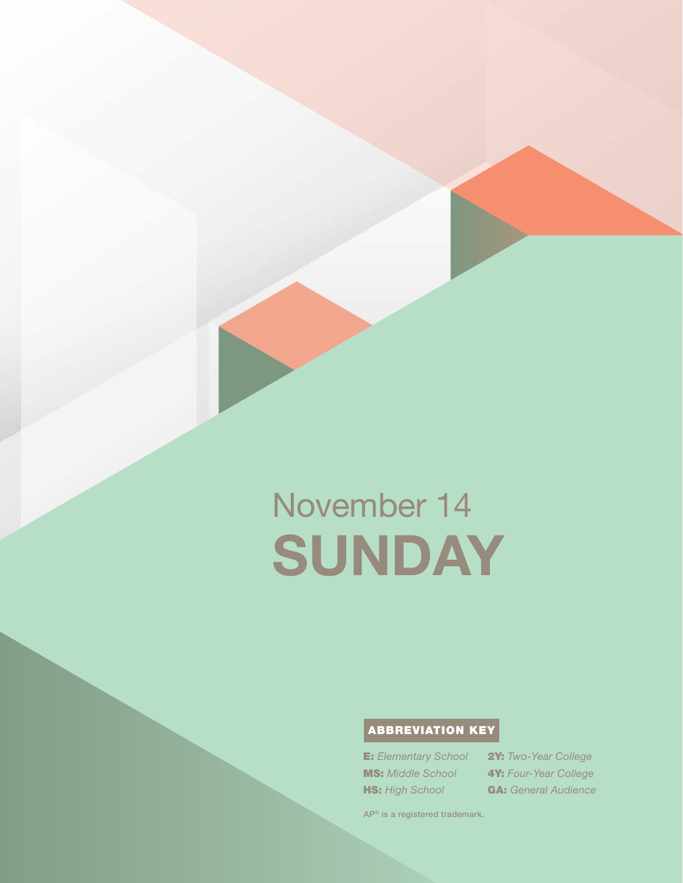# November 14 SUNDAY

# ABBREVIATION KEY

E: *Elementary School* MS: *Middle School* **HS:** High School

2Y: *Two-Year College* 4Y: *Four-Year College* GA: *General Audience*

AP® is a registered trademark.